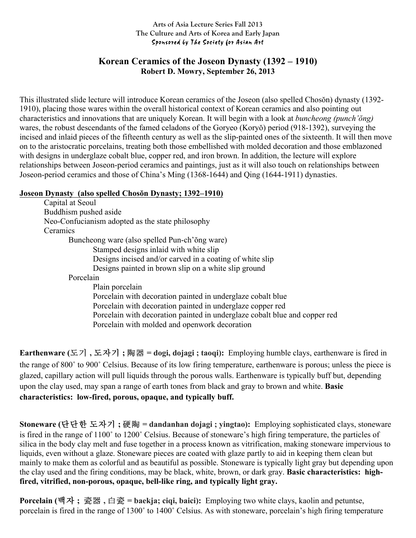#### **Arts of Asia Lecture Series Fall 2013 The Culture and Arts of Korea and Early Japan** Sponsored by The Society for Asian Art

### **Korean Ceramics of the Joseon Dynasty (1392 – 1910) Robert D. Mowry, September 26, 2013**

This illustrated slide lecture will introduce Korean ceramics of the Joseon (also spelled Chosŏn) dynasty (1392- 1910), placing those wares within the overall historical context of Korean ceramics and also pointing out characteristics and innovations that are uniquely Korean. It will begin with a look at *buncheong (punch'ŏng)* wares, the robust descendants of the famed celadons of the Goryeo (Koryŏ) period (918-1392), surveying the incised and inlaid pieces of the fifteenth century as well as the slip-painted ones of the sixteenth. It will then move on to the aristocratic porcelains, treating both those embellished with molded decoration and those emblazoned with designs in underglaze cobalt blue, copper red, and iron brown. In addition, the lecture will explore relationships between Joseon-period ceramics and paintings, just as it will also touch on relationships between Joseon-period ceramics and those of China's Ming (1368-1644) and Qing (1644-1911) dynasties.

### **Joseon Dynasty (also spelled Chosŏn Dynasty; 1392–1910)**

Capital at Seoul Buddhism pushed aside Neo-Confucianism adopted as the state philosophy **Ceramics** Buncheong ware (also spelled Pun-ch'ŏng ware) Stamped designs inlaid with white slip Designs incised and/or carved in a coating of white slip Designs painted in brown slip on a white slip ground Porcelain Plain porcelain Porcelain with decoration painted in underglaze cobalt blue Porcelain with decoration painted in underglaze copper red Porcelain with decoration painted in underglaze cobalt blue and copper red Porcelain with molded and openwork decoration

**Earthenware (**도기 **,** 도자기 **;** 陶器 **= dogi, dojagi ; taoqi):** Employing humble clays, earthenware is fired in the range of 800˚ to 900˚ Celsius. Because of its low firing temperature, earthenware is porous; unless the piece is glazed, capillary action will pull liquids through the porous walls. Earthenware is typically buff but, depending upon the clay used, may span a range of earth tones from black and gray to brown and white. **Basic characteristics: low-fired, porous, opaque, and typically buff.**

**Stoneware (**단단한 도자기 **;** 硬陶 **= dandanhan dojagi ; yingtao):** Employing sophisticated clays, stoneware is fired in the range of 1100˚ to 1200˚ Celsius. Because of stoneware's high firing temperature, the particles of silica in the body clay melt and fuse together in a process known as vitrification, making stoneware impervious to liquids, even without a glaze. Stoneware pieces are coated with glaze partly to aid in keeping them clean but mainly to make them as colorful and as beautiful as possible. Stoneware is typically light gray but depending upon the clay used and the firing conditions, may be black, white, brown, or dark gray. **Basic characteristics: highfired, vitrified, non-porous, opaque, bell-like ring, and typically light gray.**

**Porcelain (**백자 **;** 瓷器 **,** 白瓷 **= baekja; ciqi, baici):** Employing two white clays, kaolin and petuntse, porcelain is fired in the range of 1300˚ to 1400˚ Celsius. As with stoneware, porcelain's high firing temperature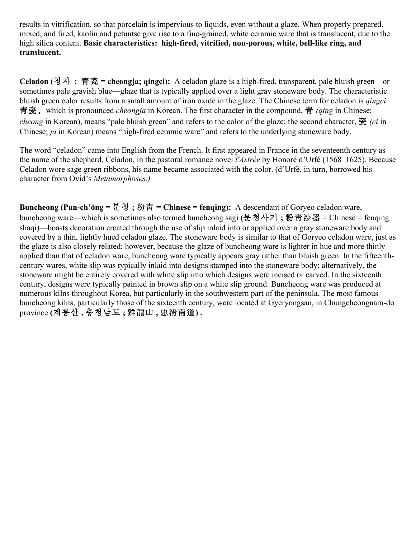results in vitrification, so that porcelain is impervious to liquids, even without a glaze. When properly prepared, mixed, and fired, kaolin and petuntse give rise to a fine-grained, white ceramic ware that is translucent, due to the high silica content. **Basic characteristics: high-fired, vitrified, non-porous, white, bell-like ring, and translucent.** 

**Celadon (**청자 **;** 青瓷 **= cheongja; qingci):** A celadon glaze is a high-fired, transparent, pale bluish green—or sometimes pale grayish blue—glaze that is typically applied over a light gray stoneware body. The characteristic bluish green color results from a small amount of iron oxide in the glaze. The Chinese term for celadon is *qingci* 青瓷﹐which is pronounced *cheongja* in Korean. The first character in the compound, 青 *(qing* in Chinese; *cheong* in Korean), means "pale bluish green" and refers to the color of the glaze; the second character, 瓷 *(ci* in Chinese; *ja* in Korean) means "high-fired ceramic ware" and refers to the underlying stoneware body.

The word "celadon" came into English from the French. It first appeared in France in the seventeenth century as the name of the shepherd, Celadon, in the pastoral romance novel *l'Astrée* by Honoré d'Urfé (1568–1625). Because Celadon wore sage green ribbons, his name became associated with the color. (d'Urfé, in turn, borrowed his character from Ovid's *Metamorphoses.)* 

**Buncheong (Pun-ch'ŏng =** 분청 **;** 粉靑 **= Chinese = fenqing):** A descendant of Goryeo celadon ware, buncheong ware—which is sometimes also termed buncheong sagi **(**분청사기 **;** 粉靑沙器 = Chinese = fenqing shaqi)—boasts decoration created through the use of slip inlaid into or applied over a gray stoneware body and covered by a thin, lightly hued celadon glaze. The stoneware body is similar to that of Goryeo celadon ware, just as the glaze is also closely related; however, because the glaze of buncheong ware is lighter in hue and more thinly applied than that of celadon ware, buncheong ware typically appears gray rather than bluish green. In the fifteenthcentury wares, white slip was typically inlaid into designs stamped into the stoneware body; alternatively, the stoneware might be entirely covered with white slip into which designs were incised or carved. In the sixteenth century, designs were typically painted in brown slip on a white slip ground. Buncheong ware was produced at numerous kilns throughout Korea, but particularly in the southwestern part of the peninsula. The most famous buncheong kilns, particularly those of the sixteenth century, were located at Gyeryongsan, in Chungcheongnam-do province **(**계룡산 **,** 충청남도 **;** 雞龍山 **,** 忠淸南道**) .**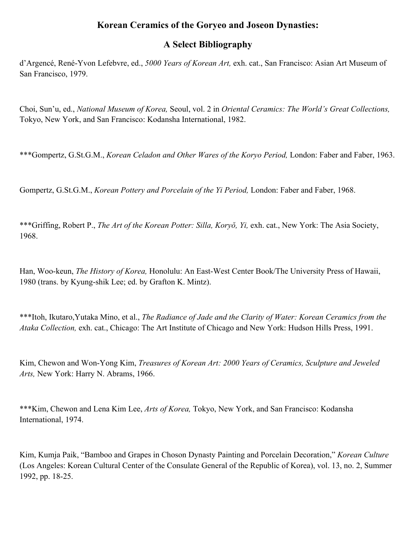## **Korean Ceramics of the Goryeo and Joseon Dynasties:**

## **A Select Bibliography**

d'Argencé, René-Yvon Lefebvre, ed., *5000 Years of Korean Art,* exh. cat., San Francisco: Asian Art Museum of San Francisco, 1979.

Choi, Sun'u, ed., *National Museum of Korea,* Seoul, vol. 2 in *Oriental Ceramics: The World's Great Collections,* Tokyo, New York, and San Francisco: Kodansha International, 1982.

\*\*\*Gompertz, G.St.G.M., *Korean Celadon and Other Wares of the Koryo Period,* London: Faber and Faber, 1963.

Gompertz, G.St.G.M., *Korean Pottery and Porcelain of the Yi Period,* London: Faber and Faber, 1968.

\*\*\*Griffing, Robert P., *The Art of the Korean Potter: Silla, Koryŏ, Yi,* exh. cat., New York: The Asia Society, 1968.

Han, Woo-keun, *The History of Korea,* Honolulu: An East-West Center Book/The University Press of Hawaii, 1980 (trans. by Kyung-shik Lee; ed. by Grafton K. Mintz).

\*\*\*Itoh, Ikutaro,Yutaka Mino, et al., *The Radiance of Jade and the Clarity of Water: Korean Ceramics from the Ataka Collection,* exh. cat., Chicago: The Art Institute of Chicago and New York: Hudson Hills Press, 1991.

Kim, Chewon and Won-Yong Kim, *Treasures of Korean Art: 2000 Years of Ceramics, Sculpture and Jeweled Arts,* New York: Harry N. Abrams, 1966.

\*\*\*Kim, Chewon and Lena Kim Lee, *Arts of Korea,* Tokyo, New York, and San Francisco: Kodansha International, 1974.

Kim, Kumja Paik, "Bamboo and Grapes in Choson Dynasty Painting and Porcelain Decoration," *Korean Culture* (Los Angeles: Korean Cultural Center of the Consulate General of the Republic of Korea), vol. 13, no. 2, Summer 1992, pp. 18-25.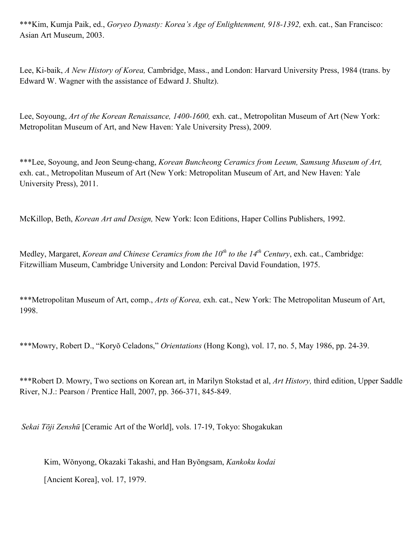\*\*\*Kim, Kumja Paik, ed., *Goryeo Dynasty: Korea's Age of Enlightenment, 918-1392,* exh. cat., San Francisco: Asian Art Museum, 2003.

Lee, Ki-baik, *A New History of Korea,* Cambridge, Mass., and London: Harvard University Press, 1984 (trans. by Edward W. Wagner with the assistance of Edward J. Shultz).

Lee, Soyoung, *Art of the Korean Renaissance, 1400-1600*, exh. cat., Metropolitan Museum of Art (New York: Metropolitan Museum of Art, and New Haven: Yale University Press), 2009.

\*\*\*Lee, Soyoung, and Jeon Seung-chang, *Korean Buncheong Ceramics from Leeum, Samsung Museum of Art,* exh. cat., Metropolitan Museum of Art (New York: Metropolitan Museum of Art, and New Haven: Yale University Press), 2011.

McKillop, Beth, *Korean Art and Design,* New York: Icon Editions, Haper Collins Publishers, 1992.

Medley, Margaret, *Korean and Chinese Ceramics from the 10th to the 14th Century*, exh. cat., Cambridge: Fitzwilliam Museum, Cambridge University and London: Percival David Foundation, 1975.

\*\*\*Metropolitan Museum of Art, comp., *Arts of Korea,* exh. cat., New York: The Metropolitan Museum of Art, 1998.

\*\*\*Mowry, Robert D., "Koryŏ Celadons," *Orientations* (Hong Kong), vol. 17, no. 5, May 1986, pp. 24-39.

\*\*\*Robert D. Mowry, Two sections on Korean art, in Marilyn Stokstad et al, *Art History,* third edition, Upper Saddle River, N.J.: Pearson / Prentice Hall, 2007, pp. 366-371, 845-849.

*Sekai Tōji Zenshū* [Ceramic Art of the World], vols. 17-19, Tokyo: Shogakukan

Kim, Wŏnyong, Okazaki Takashi, and Han Byŏngsam, *Kankoku kodai*

[Ancient Korea], vol. 17, 1979.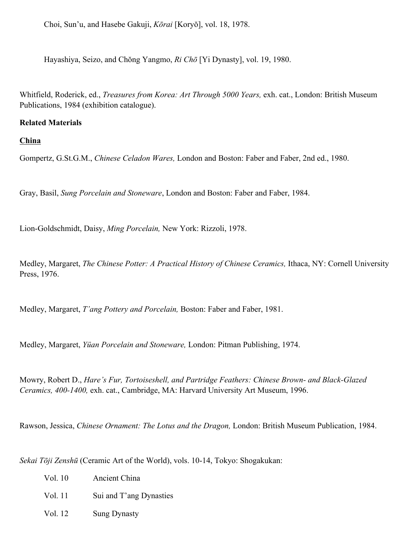Choi, Sun'u, and Hasebe Gakuji, *Kōrai* [Koryŏ], vol. 18, 1978.

Hayashiya, Seizo, and Chŏng Yangmo, *Ri Chō* [Yi Dynasty], vol. 19, 1980.

Whitfield, Roderick, ed., *Treasures from Korea: Art Through 5000 Years,* exh. cat., London: British Museum Publications, 1984 (exhibition catalogue).

#### **Related Materials**

**China**

Gompertz, G.St.G.M., *Chinese Celadon Wares,* London and Boston: Faber and Faber, 2nd ed., 1980.

Gray, Basil, *Sung Porcelain and Stoneware*, London and Boston: Faber and Faber, 1984.

Lion-Goldschmidt, Daisy, *Ming Porcelain,* New York: Rizzoli, 1978.

Medley, Margaret, *The Chinese Potter: A Practical History of Chinese Ceramics,* Ithaca, NY: Cornell University Press, 1976.

Medley, Margaret, *T'ang Pottery and Porcelain,* Boston: Faber and Faber, 1981.

Medley, Margaret, *Yüan Porcelain and Stoneware,* London: Pitman Publishing, 1974.

Mowry, Robert D., *Hare's Fur, Tortoiseshell, and Partridge Feathers: Chinese Brown- and Black-Glazed Ceramics, 400-1400,* exh. cat., Cambridge, MA: Harvard University Art Museum, 1996.

Rawson, Jessica, *Chinese Ornament: The Lotus and the Dragon,* London: British Museum Publication, 1984.

*Sekai Tōji Zenshū* (Ceramic Art of the World), vols. 10-14, Tokyo: Shogakukan:

| Vol. 10 | Ancient China           |
|---------|-------------------------|
| Vol. 11 | Sui and T'ang Dynasties |
| Vol. 12 | <b>Sung Dynasty</b>     |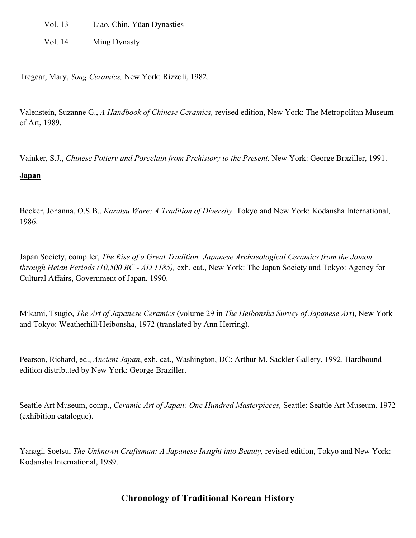Vol. 13 Liao, Chin, Yüan Dynasties

Vol. 14 Ming Dynasty

Tregear, Mary, *Song Ceramics,* New York: Rizzoli, 1982.

Valenstein, Suzanne G., *A Handbook of Chinese Ceramics,* revised edition, New York: The Metropolitan Museum of Art, 1989.

Vainker, S.J., *Chinese Pottery and Porcelain from Prehistory to the Present,* New York: George Braziller, 1991.

#### **Japan**

Becker, Johanna, O.S.B., *Karatsu Ware: A Tradition of Diversity,* Tokyo and New York: Kodansha International, 1986.

Japan Society, compiler, *The Rise of a Great Tradition: Japanese Archaeological Ceramics from the Jomon through Heian Periods (10,500 BC - AD 1185),* exh. cat., New York: The Japan Society and Tokyo: Agency for Cultural Affairs, Government of Japan, 1990.

Mikami, Tsugio, *The Art of Japanese Ceramics* (volume 29 in *The Heibonsha Survey of Japanese Art*), New York and Tokyo: Weatherhill/Heibonsha, 1972 (translated by Ann Herring).

Pearson, Richard, ed., *Ancient Japan*, exh. cat., Washington, DC: Arthur M. Sackler Gallery, 1992. Hardbound edition distributed by New York: George Braziller.

Seattle Art Museum, comp., *Ceramic Art of Japan: One Hundred Masterpieces,* Seattle: Seattle Art Museum, 1972 (exhibition catalogue).

Yanagi, Soetsu, *The Unknown Craftsman: A Japanese Insight into Beauty,* revised edition, Tokyo and New York: Kodansha International, 1989.

# **Chronology of Traditional Korean History**